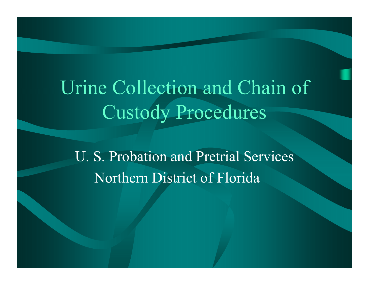Urine Collection and Chain of Custody Procedures

U. S. Probation and Pretrial Services Northern District of Florida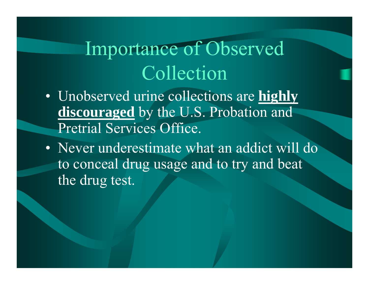Importance of Observed Collection

- Unobserved urine collections are **highly discouraged** by the U.S. Probation and Pretrial Services Office.
- Never underestimate what an addict will do to conceal drug usage and to try and beat the drug test.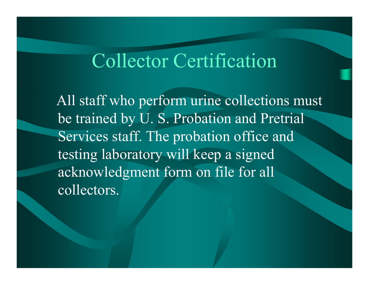#### Collector Certification

All staff who perform urine collections must be trained by U. S. Probation and Pretrial Services staff. The probation office and testing laboratory will keep a signed acknowledgment form on file for all collectors.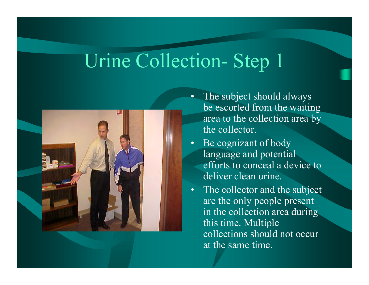

- The subject should always be escorted from the waiting area to the collection area by the collector.
- Be cognizant of body language and potential efforts to conceal a device to deliver clean urine.
- The collector and the subject are the only people present in the collection area during this time. Multiple collections should not occur at the same time.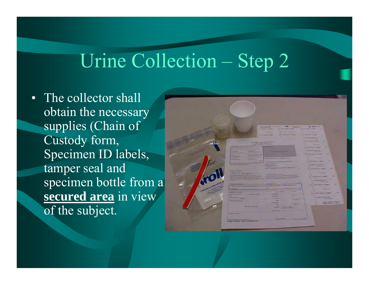• The collector shall obtain the necessary supplies (Chain of Custody form, Specimen ID labels, tamper seal and specimen bottle from a **secured area** in view of the subject.

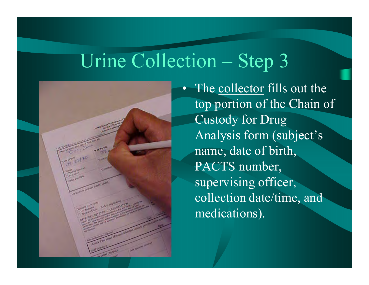

• The collector fills out the top portion of the Chain of Custody for Drug Analysis form (subject's name, date of birth, PACTS number, supervising officer, collection date/time, and medications).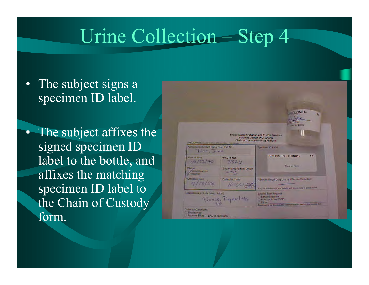- The subject signs a specimen ID label.
- The subject affixes the signed specimen ID label to the bottle, and affixes the matching specimen ID label to the Chain of Custody form.

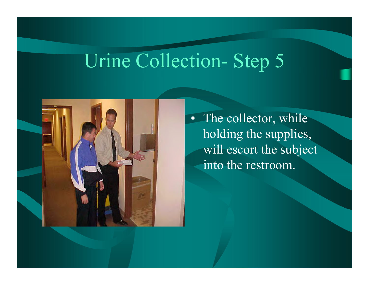

• The collector, while holding the supplies, will escort the subject into the restroom.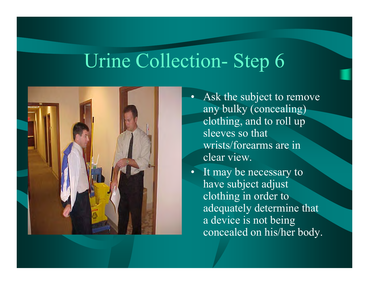

- •Ask the subject to remove any bulky (concealing) clothing, and to roll up sleeves so that wrists/forearms are in clear view.
	- •It may be necessary to have subject adjust clothing in order to adequately determine that a device is not being concealed on his/her body.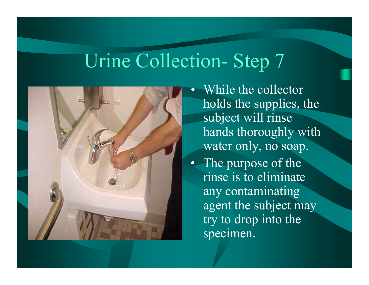

- $\bullet$  While the collector holds the supplies, the subject will rinse hands thoroughly with water only, no soap.
- The purpose of the rinse is to eliminate any contaminating agent the subject may try to drop into the specimen.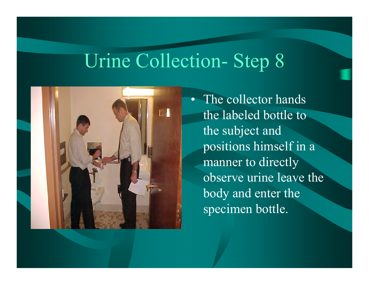

• The collector hands the labeled bottle to the subject and positions himself in a manner to directly observe urine leave the body and enter the specimen bottle.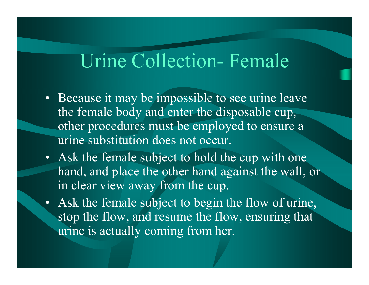#### Urine Collection- Female

- Because it may be impossible to see urine leave the female body and enter the disposable cup, other procedures must be employed to ensure a urine substitution does not occur.
- Ask the female subject to hold the cup with one hand, and place the other hand against the wall, or in clear view away from the cup.
- Ask the female subject to begin the flow of urine, stop the flow, and resume the flow, ensuring that urine is actually coming from her.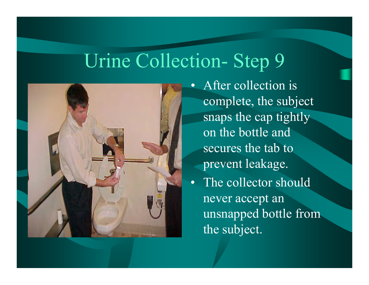

 $\bullet$  After collection is complete, the subject snaps the cap tightly on the bottle and secures the tab to prevent leakage.

• The collector should never accept an unsnapped bottle from the subject.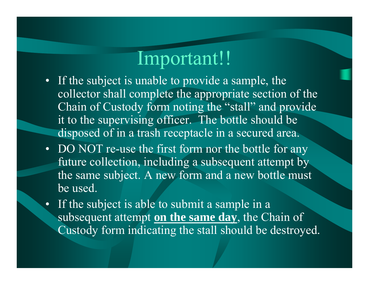#### Important!!

- If the subject is unable to provide a sample, the collector shall complete the appropriate section of the Chain of Custody form noting the "stall" and provide it to the supervising officer. The bottle should be disposed of in a trash receptacle in a secured area.
- DO NOT re-use the first form nor the bottle for any future collection, including a subsequent attempt by the same subject. A new form and a new bottle must be used.
- If the subject is able to submit a sample in a subsequent attempt **on the same day**, the Chain of Custody form indicating the stall should be destroyed.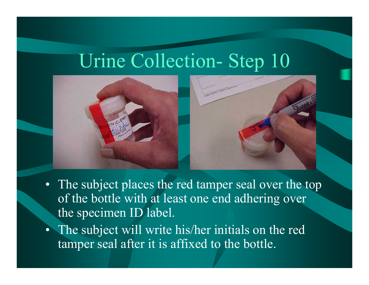



- The subject places the red tamper seal over the top of the bottle with at least one end adhering over the specimen ID label.
- The subject will write his/her initials on the red tamper seal after it is affixed to the bottle.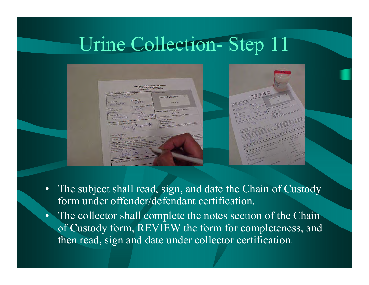

- •The subject shall read, sign, and date the Chain of Custody form under offender/defendant certification.
- The collector shall complete the notes section of the Chain of Custody form, REVIEW the form for completeness, and then read, sign and date under collector certification.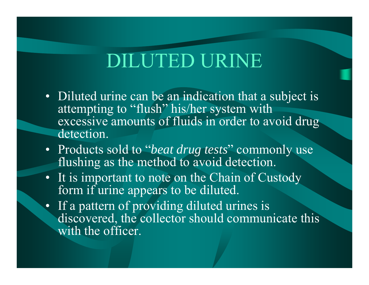## DILUTED URINE

- Diluted urine can be an indication that a subject is attempting to "flush" his/her system with excessive amounts of fluids in order to avoid drug detection.
- Products sold to "*beat drug tests*" commonly use flushing as the method to avoid detection.
- It is important to note on the Chain of Custody form if urine appears to be diluted.
- If a pattern of providing diluted urines is discovered, the collector should communicate this with the officer.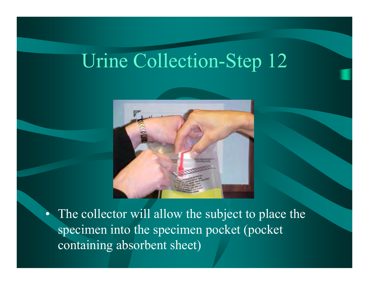

• The collector will allow the subject to place the specimen into the specimen pocket (pocket containing absorbent sheet)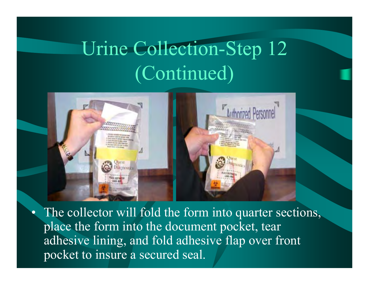# Urine Collection-Step 12 (Continued)



 $\bullet$ 

The collector will fold the form into quarter sections, place the form into the document pocket, tear adhesive lining, and fold adhesive flap over front pocket to insure a secured seal.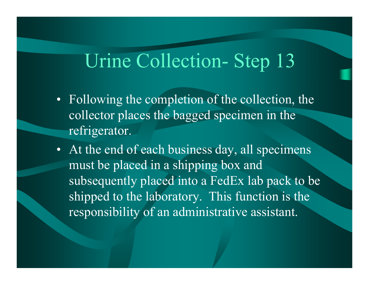- Following the completion of the collection, the collector places the bagged specimen in the refrigerator.
- At the end of each business day, all specimens must be placed in a shipping box and subsequently placed into a FedEx lab pack to be shipped to the laboratory. This function is the responsibility of an administrative assistant.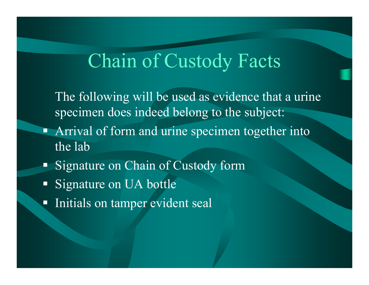#### Chain of Custody Facts

The following will be used as evidence that a urine specimen does indeed belong to the subject:

- Ξ Arrival of form and urine specimen together into the lab
- Ξ Signature on Chain of Custody form
- Ξ Signature on UA bottle
- $\Box$ Initials on tamper evident seal